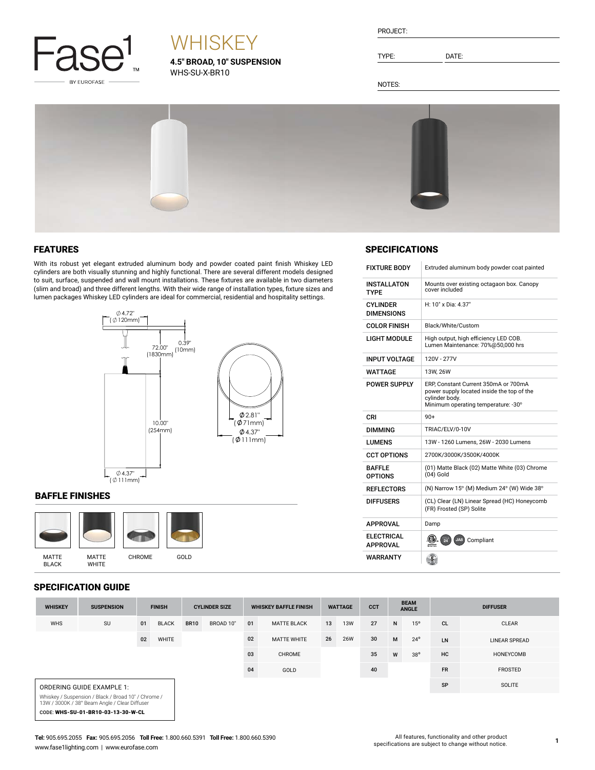

# **WHISKEY**

**4.5" BROAD, 10" SUSPENSION** WHS-SU-X-BR10

TYPE: DATE:

NOTES:



### FEATURES

With its robust yet elegant extruded aluminum body and powder coated paint finish Whiskey LED cylinders are both visually stunning and highly functional. There are several different models designed to suit, surface, suspended and wall mount installations. These fixtures are available in two diameters (slim and broad) and three different lengths. With their wide range of installation types, fixture sizes and lumen packages Whiskey LED cylinders are ideal for commercial, residential and hospitality settings.



### BAFFLE FINISHES



### SPECIFICATION GUIDE

CODE: WHS-SU-01-BR10-03-13-30-W-CL

| <b>SPECIFICATIONS</b> |  |
|-----------------------|--|

| <b>FIXTURE BODY</b>                  | Extruded aluminum body powder coat painted                                                                                                  |
|--------------------------------------|---------------------------------------------------------------------------------------------------------------------------------------------|
| INSTALLATON<br>TYPF                  | Mounts over existing octagaon box. Canopy<br>cover included                                                                                 |
| <b>CYLINDER</b><br><b>DIMENSIONS</b> | H: 10" x Dia: 4.37"                                                                                                                         |
| <b>COLOR FINISH</b>                  | Black/White/Custom                                                                                                                          |
| LIGHT MODULE                         | High output, high efficiency LED COB.<br>Lumen Maintenance: 70%@50,000 hrs                                                                  |
| <b>INPUT VOLTAGE</b>                 | 120V - 277V                                                                                                                                 |
| WATTAGE                              | 13W, 26W                                                                                                                                    |
| <b>POWER SUPPLY</b>                  | ERP. Constant Current 350mA or 700mA<br>power supply located inside the top of the<br>cylinder body.<br>Minimum operating temperature: -30° |
| CRI                                  | $90+$                                                                                                                                       |
| <b>DIMMING</b>                       | TRIAC/ELV/0-10V                                                                                                                             |
| LUMENS                               | 13W - 1260 Lumens, 26W - 2030 Lumens                                                                                                        |
| <b>CCT OPTIONS</b>                   | 2700K/3000K/3500K/4000K                                                                                                                     |
| <b>BAFFIF</b><br><b>OPTIONS</b>      | (01) Matte Black (02) Matte White (03) Chrome<br>$(04)$ Gold                                                                                |
| <b>REFLECTORS</b>                    | (N) Narrow 15° (M) Medium 24° (W) Wide 38°                                                                                                  |
| <b>DIFFUSERS</b>                     | (CL) Clear (LN) Linear Spread (HC) Honeycomb<br>(FR) Frosted (SP) Solite                                                                    |
| <b>APPROVAL</b>                      | Damp                                                                                                                                        |
| <b>ELECTRICAL</b><br><b>APPROVAL</b> | $\frac{1}{24}$<br>(CI)<br>JA8) Compliant                                                                                                    |
| WARRANTY                             | 5 <sub>1</sub>                                                                                                                              |

| <b>WHISKEY</b> | <b>SUSPENSION</b>                                                                                    | <b>FINISH</b> |              | <b>CYLINDER SIZE</b><br><b>WHISKEY BAFFLE FINISH</b> |           | <b>WATTAGE</b> |                    | <b>CCT</b> | <b>BEAM</b><br><b>ANGLE</b> |    | <b>DIFFUSER</b> |              |           |                      |
|----------------|------------------------------------------------------------------------------------------------------|---------------|--------------|------------------------------------------------------|-----------|----------------|--------------------|------------|-----------------------------|----|-----------------|--------------|-----------|----------------------|
| <b>WHS</b>     | <b>SU</b>                                                                                            | 01            | <b>BLACK</b> | <b>BR10</b>                                          | BROAD 10" | 01             | <b>MATTE BLACK</b> | 13         | <b>13W</b>                  | 27 | N               | 15°          | <b>CL</b> | <b>CLEAR</b>         |
|                |                                                                                                      | 02            | <b>WHITE</b> |                                                      |           | 02             | <b>MATTE WHITE</b> | 26         | <b>26W</b>                  | 30 | M               | $24^{\circ}$ | LN        | <b>LINEAR SPREAD</b> |
|                |                                                                                                      |               |              |                                                      |           | 03             | <b>CHROME</b>      |            |                             | 35 | W               | $38^{\circ}$ | <b>HC</b> | HONEYCOMB            |
|                |                                                                                                      |               |              |                                                      |           | 04             | GOLD               |            |                             | 40 |                 |              | <b>FR</b> | <b>FROSTED</b>       |
|                | <b>ORDERING GUIDE EXAMPLE 1:</b>                                                                     |               |              |                                                      |           |                |                    |            |                             |    |                 |              | SP        | SOLITE               |
|                | Whiskey / Suspension / Black / Broad 10" / Chrome /<br>13W / 3000K / 38° Beam Angle / Clear Diffuser |               |              |                                                      |           |                |                    |            |                             |    |                 |              |           |                      |

**Tel:** 905.695.2055 **Fax:** 905.695.2056 **Toll Free:** 1.800.660.5391 **Toll Free:** 1.800.660.5390 www.fase1lighting.com | www.eurofase.com